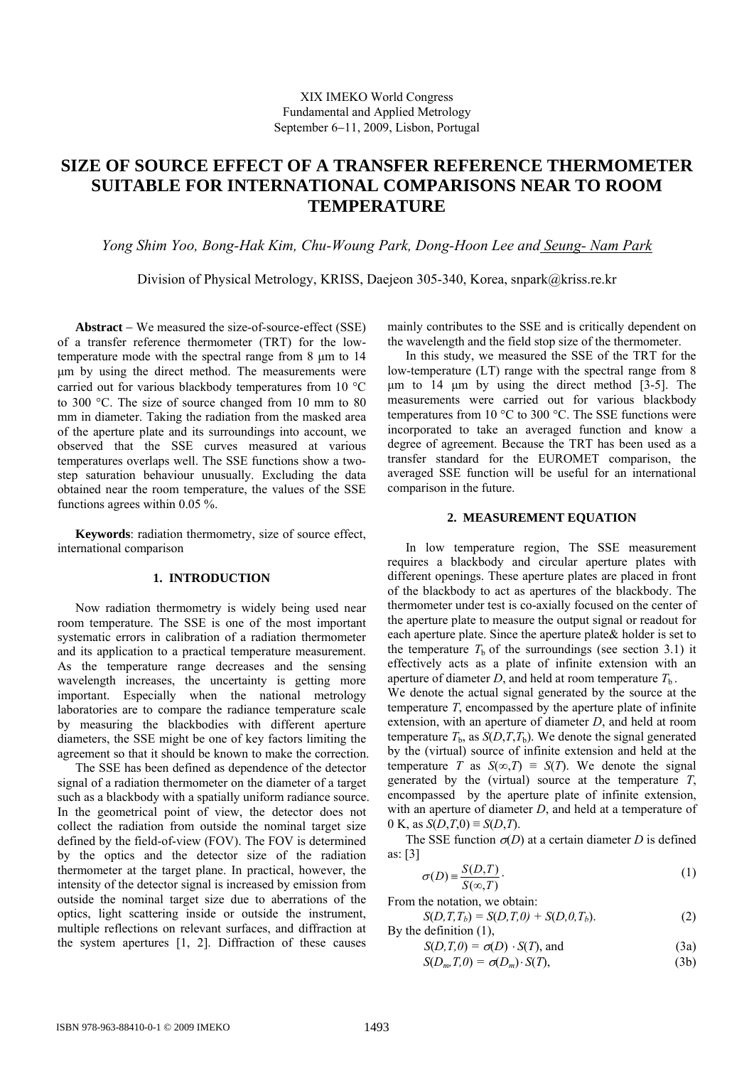# **SIZE OF SOURCE EFFECT OF A TRANSFER REFERENCE THERMOMETER SUITABLE FOR INTERNATIONAL COMPARISONS NEAR TO ROOM TEMPERATURE**

*Yong Shim Yoo, Bong-Hak Kim, Chu-Woung Park, Dong-Hoon Lee and Seung- Nam Park*

Division of Physical Metrology, KRISS, Daejeon 305-340, Korea, snpark@kriss.re.kr

**Abstract** − We measured the size-of-source-effect (SSE) of a transfer reference thermometer (TRT) for the lowtemperature mode with the spectral range from 8 μm to 14 μm by using the direct method. The measurements were carried out for various blackbody temperatures from 10 °C to 300 °C. The size of source changed from 10 mm to 80 mm in diameter. Taking the radiation from the masked area of the aperture plate and its surroundings into account, we observed that the SSE curves measured at various temperatures overlaps well. The SSE functions show a twostep saturation behaviour unusually. Excluding the data obtained near the room temperature, the values of the SSE functions agrees within 0.05 %.

**Keywords**: radiation thermometry, size of source effect, international comparison

# **1. INTRODUCTION**

Now radiation thermometry is widely being used near room temperature. The SSE is one of the most important systematic errors in calibration of a radiation thermometer and its application to a practical temperature measurement. As the temperature range decreases and the sensing wavelength increases, the uncertainty is getting more important. Especially when the national metrology laboratories are to compare the radiance temperature scale by measuring the blackbodies with different aperture diameters, the SSE might be one of key factors limiting the agreement so that it should be known to make the correction.

The SSE has been defined as dependence of the detector signal of a radiation thermometer on the diameter of a target such as a blackbody with a spatially uniform radiance source. In the geometrical point of view, the detector does not collect the radiation from outside the nominal target size defined by the field-of-view (FOV). The FOV is determined by the optics and the detector size of the radiation thermometer at the target plane. In practical, however, the intensity of the detector signal is increased by emission from outside the nominal target size due to aberrations of the optics, light scattering inside or outside the instrument, multiple reflections on relevant surfaces, and diffraction at the system apertures [1, 2]. Diffraction of these causes

mainly contributes to the SSE and is critically dependent on the wavelength and the field stop size of the thermometer.

In this study, we measured the SSE of the TRT for the low-temperature (LT) range with the spectral range from 8 μm to 14 μm by using the direct method [3-5]. The measurements were carried out for various blackbody temperatures from 10  $\degree$ C to 300  $\degree$ C. The SSE functions were incorporated to take an averaged function and know a degree of agreement. Because the TRT has been used as a transfer standard for the EUROMET comparison, the averaged SSE function will be useful for an international comparison in the future.

# **2. MEASUREMENT EQUATION**

In low temperature region, The SSE measurement requires a blackbody and circular aperture plates with different openings. These aperture plates are placed in front of the blackbody to act as apertures of the blackbody. The thermometer under test is co-axially focused on the center of the aperture plate to measure the output signal or readout for each aperture plate. Since the aperture plate& holder is set to the temperature  $T<sub>b</sub>$  of the surroundings (see section 3.1) it effectively acts as a plate of infinite extension with an aperture of diameter *D*, and held at room temperature  $T<sub>b</sub>$ .

We denote the actual signal generated by the source at the temperature *T*, encompassed by the aperture plate of infinite extension, with an aperture of diameter *D*, and held at room temperature  $T_b$ , as  $S(D,T,T_b)$ . We denote the signal generated by the (virtual) source of infinite extension and held at the temperature *T* as  $S(\infty,T) \equiv S(T)$ . We denote the signal generated by the (virtual) source at the temperature *T*, encompassed by the aperture plate of infinite extension, with an aperture of diameter *D*, and held at a temperature of 0 K, as *S*(*D*,*T*,0) ≡ *S*(*D*,*T*).

The SSE function  $\sigma(D)$  at a certain diameter *D* is defined as: [3]

$$
\sigma(D) \equiv \frac{S(D, T)}{S(\infty, T)}.
$$
\n(1)

From the notation, we obtain:

 $S(D,T,T_b) = S(D,T,0) + S(D,0,T_b).$  (2) By the definition (1),

$$
S(D,T,0) = \sigma(D) \cdot S(T), \text{ and } \tag{3a}
$$

$$
S(D_m, T, 0) = \sigma(D_m) \cdot S(T), \qquad (3b)
$$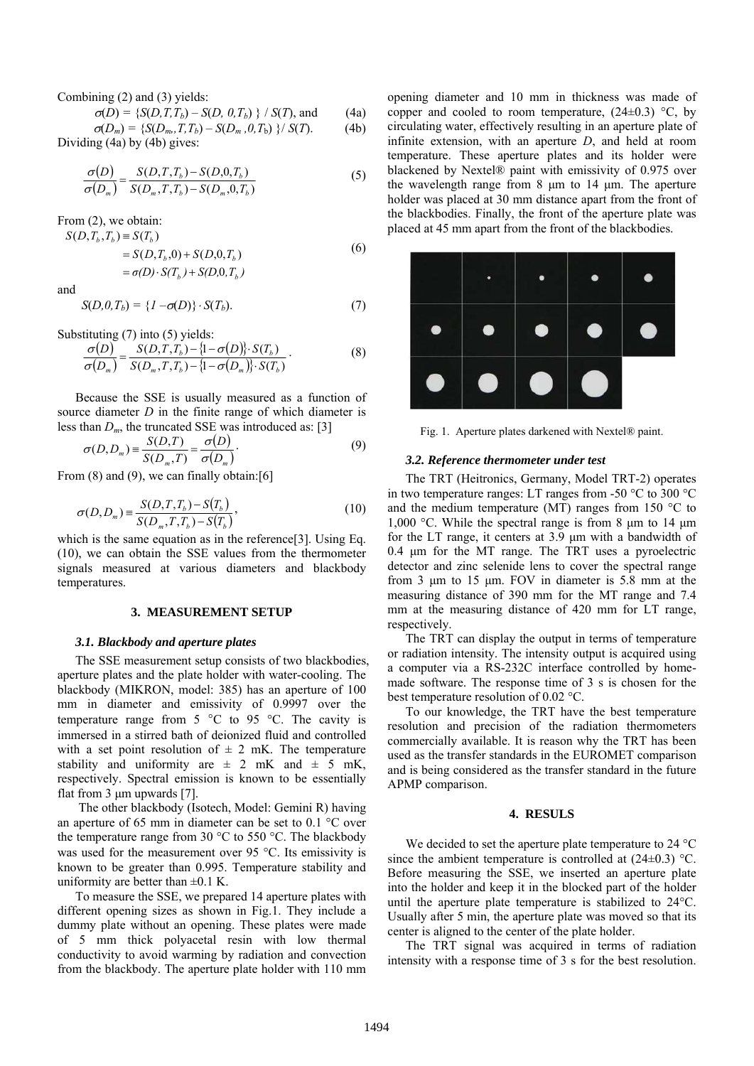Combining (2) and (3) yields:

$$
\sigma(D) = \{ S(D, T, T_b) - S(D, 0, T_b) \} / S(T)
$$
, and (4a)

 $\sigma(D_m) = \{S(D_m, T, T_b) - S(D_m, 0, T_b)\}/S(T).$  (4b) Dividing (4a) by (4b) gives:

$$
\frac{\sigma(D)}{\sigma(D_m)} = \frac{S(D, T, T_b) - S(D, 0, T_b)}{S(D_m, T, T_b) - S(D_m, 0, T_b)}
$$
(5)

From (2), we obtain:

$$
S(D, T_b, T_b) = S(T_b)
$$
  
= S(D, T\_b, 0) + S(D, 0, T\_b)  
= \sigma(D) \cdot S(T\_b) + S(D, 0, T\_b) (6)

and

$$
S(D,0,T_b) = \{I - \sigma(D)\} \cdot S(T_b). \tag{7}
$$

Substituting (7) into (5) yields:

$$
\frac{\sigma(D)}{\sigma(D_m)} = \frac{S(D,T,T_b) - \{1 - \sigma(D)\} \cdot S(T_b)}{S(D_m,T,T_b) - \{1 - \sigma(D_m)\} \cdot S(T_b)}.
$$
\n(8)

Because the SSE is usually measured as a function of source diameter *D* in the finite range of which diameter is less than  $D_m$ , the truncated SSE was introduced as: [3]

$$
\sigma(D, D_m) = \frac{S(D, T)}{S(D_m, T)} = \frac{\sigma(D)}{\sigma(D_m)}.
$$
\n(9)

From  $(8)$  and  $(9)$ , we can finally obtain: [6]

$$
\sigma(D, D_m) = \frac{S(D, T, T_b) - S(T_b)}{S(D_m, T, T_b) - S(T_b)},
$$
\n(10)

which is the same equation as in the reference[3]. Using Eq. (10), we can obtain the SSE values from the thermometer signals measured at various diameters and blackbody temperatures.

#### **3. MEASUREMENT SETUP**

# *3.1. Blackbody and aperture plates*

The SSE measurement setup consists of two blackbodies, aperture plates and the plate holder with water-cooling. The blackbody (MIKRON, model: 385) has an aperture of 100 mm in diameter and emissivity of 0.9997 over the temperature range from  $5^{\circ}$ C to 95 °C. The cavity is immersed in a stirred bath of deionized fluid and controlled with a set point resolution of  $\pm$  2 mK. The temperature stability and uniformity are  $\pm$  2 mK and  $\pm$  5 mK, respectively. Spectral emission is known to be essentially flat from 3 μm upwards [7].

 The other blackbody (Isotech, Model: Gemini R) having an aperture of 65 mm in diameter can be set to 0.1 °C over the temperature range from 30 °C to 550 °C. The blackbody was used for the measurement over 95 °C. Its emissivity is known to be greater than 0.995. Temperature stability and uniformity are better than  $\pm 0.1$  K.

To measure the SSE, we prepared 14 aperture plates with different opening sizes as shown in Fig.1. They include a dummy plate without an opening. These plates were made of 5 mm thick polyacetal resin with low thermal conductivity to avoid warming by radiation and convection from the blackbody. The aperture plate holder with 110 mm

opening diameter and 10 mm in thickness was made of copper and cooled to room temperature,  $(24\pm0.3)$  °C, by circulating water, effectively resulting in an aperture plate of infinite extension, with an aperture *D*, and held at room temperature. These aperture plates and its holder were blackened by Nextel® paint with emissivity of 0.975 over the wavelength range from 8 μm to 14 μm. The aperture holder was placed at 30 mm distance apart from the front of the blackbodies. Finally, the front of the aperture plate was placed at 45 mm apart from the front of the blackbodies.



Fig. 1. Aperture plates darkened with Nextel® paint.

#### *3.2. Reference thermometer under test*

The TRT (Heitronics, Germany, Model TRT-2) operates in two temperature ranges: LT ranges from -50 °C to 300 °C and the medium temperature (MT) ranges from 150 °C to 1,000 °C. While the spectral range is from 8 μm to 14 μm for the LT range, it centers at 3.9 μm with a bandwidth of 0.4 μm for the MT range. The TRT uses a pyroelectric detector and zinc selenide lens to cover the spectral range from 3 μm to 15 μm. FOV in diameter is 5.8 mm at the measuring distance of 390 mm for the MT range and 7.4 mm at the measuring distance of 420 mm for LT range, respectively.

The TRT can display the output in terms of temperature or radiation intensity. The intensity output is acquired using a computer via a RS-232C interface controlled by homemade software. The response time of 3 s is chosen for the best temperature resolution of 0.02 °C.

To our knowledge, the TRT have the best temperature resolution and precision of the radiation thermometers commercially available. It is reason why the TRT has been used as the transfer standards in the EUROMET comparison and is being considered as the transfer standard in the future APMP comparison.

#### **4. RESULS**

We decided to set the aperture plate temperature to 24 °C since the ambient temperature is controlled at  $(24\pm0.3)$  °C. Before measuring the SSE, we inserted an aperture plate into the holder and keep it in the blocked part of the holder until the aperture plate temperature is stabilized to 24°C. Usually after 5 min, the aperture plate was moved so that its center is aligned to the center of the plate holder.

The TRT signal was acquired in terms of radiation intensity with a response time of 3 s for the best resolution.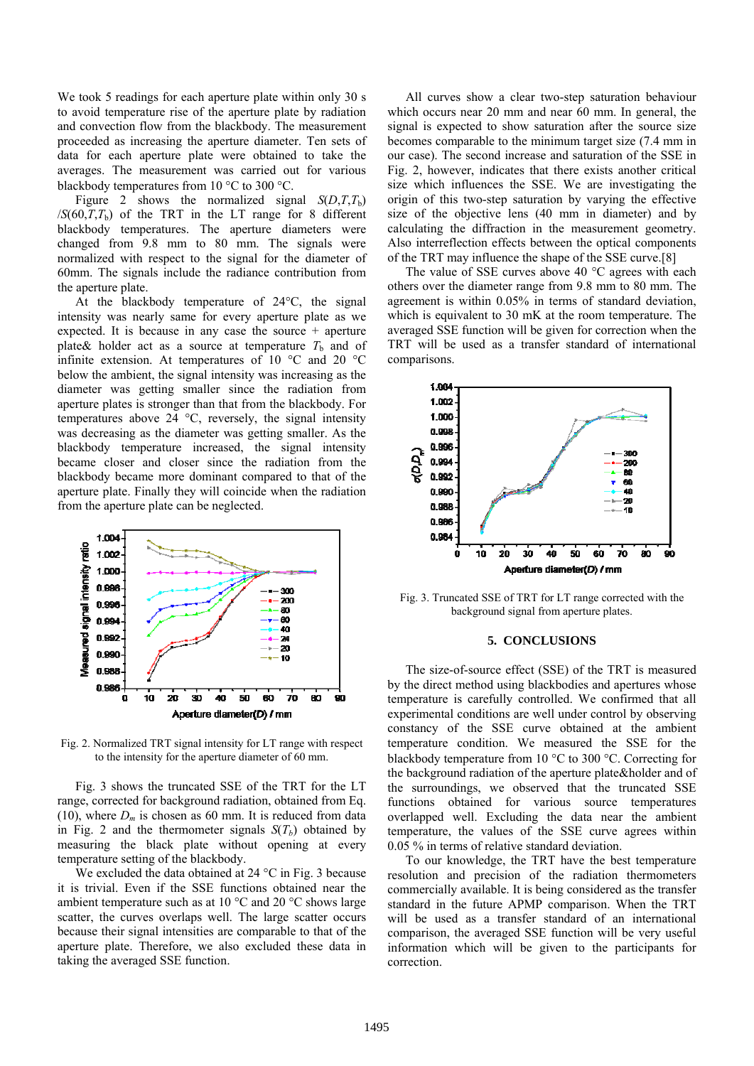We took 5 readings for each aperture plate within only 30 s to avoid temperature rise of the aperture plate by radiation and convection flow from the blackbody. The measurement proceeded as increasing the aperture diameter. Ten sets of data for each aperture plate were obtained to take the averages. The measurement was carried out for various blackbody temperatures from 10 °C to 300 °C.

Figure 2 shows the normalized signal  $S(D,T,T_b)$  $/S(60,T,T_b)$  of the TRT in the LT range for 8 different blackbody temperatures. The aperture diameters were changed from 9.8 mm to 80 mm. The signals were normalized with respect to the signal for the diameter of 60mm. The signals include the radiance contribution from the aperture plate.

At the blackbody temperature of 24°C, the signal intensity was nearly same for every aperture plate as we expected. It is because in any case the source + aperture plate & holder act as a source at temperature  $T_b$  and of infinite extension. At temperatures of 10 °C and 20 °C below the ambient, the signal intensity was increasing as the diameter was getting smaller since the radiation from aperture plates is stronger than that from the blackbody. For temperatures above 24 °C, reversely, the signal intensity was decreasing as the diameter was getting smaller. As the blackbody temperature increased, the signal intensity became closer and closer since the radiation from the blackbody became more dominant compared to that of the aperture plate. Finally they will coincide when the radiation from the aperture plate can be neglected.



Fig. 2. Normalized TRT signal intensity for LT range with respect to the intensity for the aperture diameter of 60 mm.

Fig. 3 shows the truncated SSE of the TRT for the LT range, corrected for background radiation, obtained from Eq. (10), where  $D_m$  is chosen as 60 mm. It is reduced from data in Fig. 2 and the thermometer signals  $S(T_b)$  obtained by measuring the black plate without opening at every temperature setting of the blackbody.

We excluded the data obtained at 24 °C in Fig. 3 because it is trivial. Even if the SSE functions obtained near the ambient temperature such as at 10 °C and 20 °C shows large scatter, the curves overlaps well. The large scatter occurs because their signal intensities are comparable to that of the aperture plate. Therefore, we also excluded these data in taking the averaged SSE function.

All curves show a clear two-step saturation behaviour which occurs near 20 mm and near 60 mm. In general, the signal is expected to show saturation after the source size becomes comparable to the minimum target size (7.4 mm in our case). The second increase and saturation of the SSE in Fig. 2, however, indicates that there exists another critical size which influences the SSE. We are investigating the origin of this two-step saturation by varying the effective size of the objective lens (40 mm in diameter) and by calculating the diffraction in the measurement geometry. Also interreflection effects between the optical components of the TRT may influence the shape of the SSE curve.[8]

The value of SSE curves above 40 °C agrees with each others over the diameter range from 9.8 mm to 80 mm. The agreement is within 0.05% in terms of standard deviation, which is equivalent to 30 mK at the room temperature. The averaged SSE function will be given for correction when the TRT will be used as a transfer standard of international comparisons.



Fig. 3. Truncated SSE of TRT for LT range corrected with the background signal from aperture plates.

#### **5. CONCLUSIONS**

The size-of-source effect (SSE) of the TRT is measured by the direct method using blackbodies and apertures whose temperature is carefully controlled. We confirmed that all experimental conditions are well under control by observing constancy of the SSE curve obtained at the ambient temperature condition. We measured the SSE for the blackbody temperature from 10 °C to 300 °C. Correcting for the background radiation of the aperture plate&holder and of the surroundings, we observed that the truncated SSE functions obtained for various source temperatures overlapped well. Excluding the data near the ambient temperature, the values of the SSE curve agrees within 0.05 % in terms of relative standard deviation.

To our knowledge, the TRT have the best temperature resolution and precision of the radiation thermometers commercially available. It is being considered as the transfer standard in the future APMP comparison. When the TRT will be used as a transfer standard of an international comparison, the averaged SSE function will be very useful information which will be given to the participants for correction.